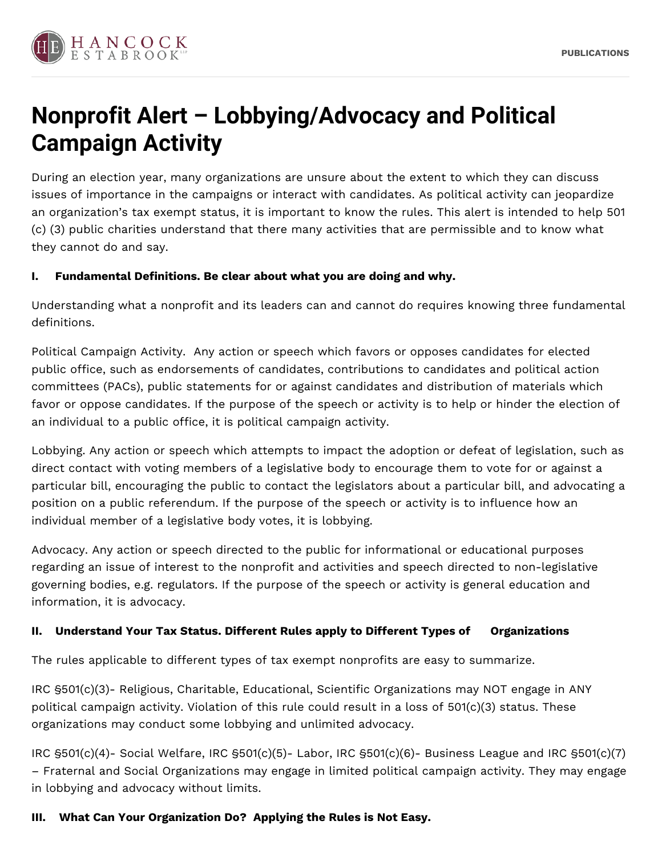

# **Nonprofit Alert – Lobbying/Advocacy and Political Campaign Activity**

During an election year, many organizations are unsure about the extent to which they can discuss issues of importance in the campaigns or interact with candidates. As political activity can jeopardize an organization's tax exempt status, it is important to know the rules. This alert is intended to help 501 (c) (3) public charities understand that there many activities that are permissible and to know what they cannot do and say.

#### **I. Fundamental Definitions. Be clear about what you are doing and why.**

Understanding what a nonprofit and its leaders can and cannot do requires knowing three fundamental definitions.

Political Campaign Activity. Any action or speech which favors or opposes candidates for elected public office, such as endorsements of candidates, contributions to candidates and political action committees (PACs), public statements for or against candidates and distribution of materials which favor or oppose candidates. If the purpose of the speech or activity is to help or hinder the election of an individual to a public office, it is political campaign activity.

Lobbying. Any action or speech which attempts to impact the adoption or defeat of legislation, such as direct contact with voting members of a legislative body to encourage them to vote for or against a particular bill, encouraging the public to contact the legislators about a particular bill, and advocating a position on a public referendum. If the purpose of the speech or activity is to influence how an individual member of a legislative body votes, it is lobbying.

Advocacy. Any action or speech directed to the public for informational or educational purposes regarding an issue of interest to the nonprofit and activities and speech directed to non-legislative governing bodies, e.g. regulators. If the purpose of the speech or activity is general education and information, it is advocacy.

#### **II. Understand Your Tax Status. Different Rules apply to Different Types of Organizations**

The rules applicable to different types of tax exempt nonprofits are easy to summarize.

IRC §501(c)(3)- Religious, Charitable, Educational, Scientific Organizations may NOT engage in ANY political campaign activity. Violation of this rule could result in a loss of 501(c)(3) status. These organizations may conduct some lobbying and unlimited advocacy.

IRC §501(c)(4)- Social Welfare, IRC §501(c)(5)- Labor, IRC §501(c)(6)- Business League and IRC §501(c)(7) – Fraternal and Social Organizations may engage in limited political campaign activity. They may engage in lobbying and advocacy without limits.

# **III. What Can Your Organization Do? Applying the Rules is Not Easy.**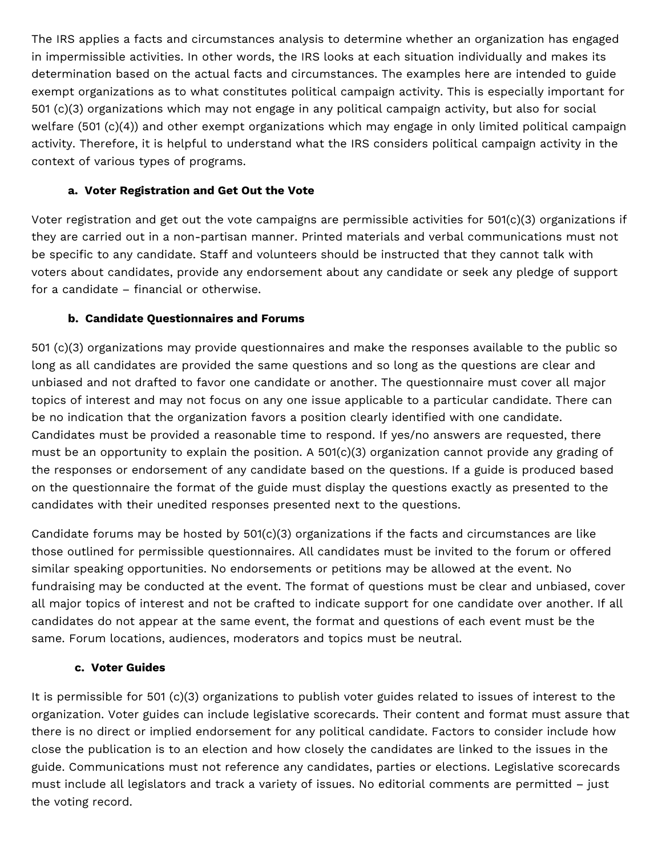The IRS applies a facts and circumstances analysis to determine whether an organization has engaged in impermissible activities. In other words, the IRS looks at each situation individually and makes its determination based on the actual facts and circumstances. The examples here are intended to guide exempt organizations as to what constitutes political campaign activity. This is especially important for 501 (c)(3) organizations which may not engage in any political campaign activity, but also for social welfare (501 (c)(4)) and other exempt organizations which may engage in only limited political campaign activity. Therefore, it is helpful to understand what the IRS considers political campaign activity in the context of various types of programs.

## **a. Voter Registration and Get Out the Vote**

Voter registration and get out the vote campaigns are permissible activities for 501(c)(3) organizations if they are carried out in a non-partisan manner. Printed materials and verbal communications must not be specific to any candidate. Staff and volunteers should be instructed that they cannot talk with voters about candidates, provide any endorsement about any candidate or seek any pledge of support for a candidate – financial or otherwise.

# **b. Candidate Questionnaires and Forums**

501 (c)(3) organizations may provide questionnaires and make the responses available to the public so long as all candidates are provided the same questions and so long as the questions are clear and unbiased and not drafted to favor one candidate or another. The questionnaire must cover all major topics of interest and may not focus on any one issue applicable to a particular candidate. There can be no indication that the organization favors a position clearly identified with one candidate. Candidates must be provided a reasonable time to respond. If yes/no answers are requested, there must be an opportunity to explain the position. A 501(c)(3) organization cannot provide any grading of the responses or endorsement of any candidate based on the questions. If a guide is produced based on the questionnaire the format of the guide must display the questions exactly as presented to the candidates with their unedited responses presented next to the questions.

Candidate forums may be hosted by  $501(c)(3)$  organizations if the facts and circumstances are like those outlined for permissible questionnaires. All candidates must be invited to the forum or offered similar speaking opportunities. No endorsements or petitions may be allowed at the event. No fundraising may be conducted at the event. The format of questions must be clear and unbiased, cover all major topics of interest and not be crafted to indicate support for one candidate over another. If all candidates do not appear at the same event, the format and questions of each event must be the same. Forum locations, audiences, moderators and topics must be neutral.

#### **c. Voter Guides**

It is permissible for 501 (c)(3) organizations to publish voter guides related to issues of interest to the organization. Voter guides can include legislative scorecards. Their content and format must assure that there is no direct or implied endorsement for any political candidate. Factors to consider include how close the publication is to an election and how closely the candidates are linked to the issues in the guide. Communications must not reference any candidates, parties or elections. Legislative scorecards must include all legislators and track a variety of issues. No editorial comments are permitted – just the voting record.